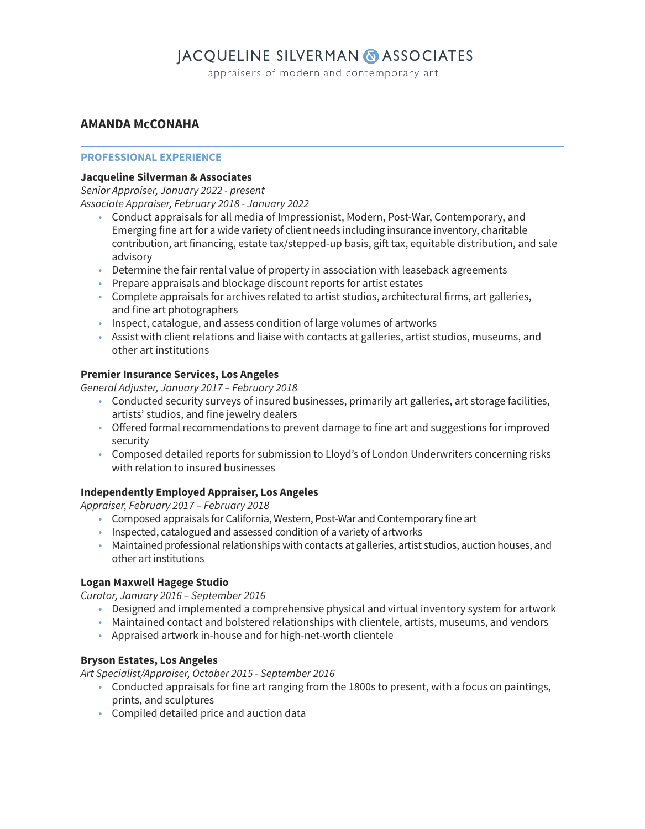## **JACQUELINE SILVERMAN & ASSOCIATES**

appraisers of modern and contemporary art

## **AMANDA McCONAHA**

#### **PROFESSIONAL EXPERIENCE**

#### **Jacqueline Silverman & Associates**

Senior Appraiser, January 2022 - present Associate Appraiser, February 2018 - January 2022

- Conduct appraisals for all media of Impressionist, Modern, Post-War, Contemporary, and Emerging fine art for a wide variety of client needs including insurance inventory, charitable contribution, art financing, estate tax/stepped-up basis, gift tax, equitable distribution, and sale advisory
- Determine the fair rental value of property in association with leaseback agreements
- Prepare appraisals and blockage discount reports for artist estates
- Complete appraisals for archives related to artist studios, architectural firms, art galleries, and fine art photographers
- Inspect, catalogue, and assess condition of large volumes of artworks
- Assist with client relations and liaise with contacts at galleries, artist studios, museums, and other art institutions

## **Premier Insurance Services, Los Angeles**

General Adjuster, January 2017 – February 2018

- Conducted security surveys of insured businesses, primarily art galleries, art storage facilities, artists' studios, and fine jewelry dealers
- Offered formal recommendations to prevent damage to fine art and suggestions for improved security
- Composed detailed reports for submission to Lloyd's of London Underwriters concerning risks with relation to insured businesses

## **Independently Employed Appraiser, Los Angeles**

Appraiser, February 2017 – February 2018

- Composed appraisals for California, Western, Post-War and Contemporary fine art
- Inspected, catalogued and assessed condition of a variety of artworks
- Maintained professional relationships with contacts at galleries, artist studios, auction houses, and other art institutions

#### **Logan Maxwell Hagege Studio**

Curator, January 2016 – September 2016

- Designed and implemented a comprehensive physical and virtual inventory system for artwork
- Maintained contact and bolstered relationships with clientele, artists, museums, and vendors
- Appraised artwork in-house and for high-net-worth clientele

#### **Bryson Estates, Los Angeles**

Art Specialist/Appraiser, October 2015 - September 2016

- Conducted appraisals for fine art ranging from the 1800s to present, with a focus on paintings, prints, and sculptures
- Compiled detailed price and auction data